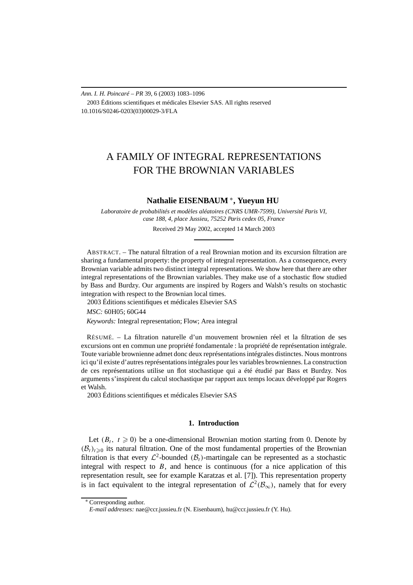*Ann. I. H. Poincaré – PR* 39, 6 (2003) 1083–1096 2003 Éditions scientifiques et médicales Elsevier SAS. All rights reserved 10.1016/S0246-0203(03)00029-3/FLA

# A FAMILY OF INTEGRAL REPRESENTATIONS FOR THE BROWNIAN VARIABLES

## **Nathalie EISENBAUM** <sup>∗</sup>**, Yueyun HU**

*Laboratoire de probabilités et modèles aléatoires (CNRS UMR-7599), Université Paris VI, case 188, 4, place Jussieu, 75252 Paris cedex 05, France*

Received 29 May 2002, accepted 14 March 2003

ABSTRACT. – The natural filtration of a real Brownian motion and its excursion filtration are sharing a fundamental property: the property of integral representation. As a consequence, every Brownian variable admits two distinct integral representations. We show here that there are other integral representations of the Brownian variables. They make use of a stochastic flow studied by Bass and Burdzy. Our arguments are inspired by Rogers and Walsh's results on stochastic integration with respect to the Brownian local times.

2003 Éditions scientifiques et médicales Elsevier SAS

*MSC:* 60H05; 60G44

*Keywords:* Integral representation; Flow; Area integral

RÉSUMÉ. – La filtration naturelle d'un mouvement brownien réel et la filtration de ses excursions ont en commun une propriété fondamentale : la propriété de représentation intégrale. Toute variable brownienne admet donc deux représentations intégrales distinctes. Nous montrons ici qu'il existe d'autres représentations intégrales pour les variables browniennes. La construction de ces représentations utilise un flot stochastique qui a été étudié par Bass et Burdzy. Nos arguments s'inspirent du calcul stochastique par rapport aux temps locaux développé par Rogers et Walsh.

2003 Éditions scientifiques et médicales Elsevier SAS

## **1. Introduction**

Let  $(B_t, t \geq 0)$  be a one-dimensional Brownian motion starting from 0. Denote by  $(\mathcal{B}_t)_{t\geq0}$  its natural filtration. One of the most fundamental properties of the Brownian filtration is that every  $\mathcal{L}^2$ -bounded  $(\mathcal{B}_t)$ -martingale can be represented as a stochastic integral with respect to *B*, and hence is continuous (for a nice application of this representation result, see for example Karatzas et al. [7]). This representation property is in fact equivalent to the integral representation of  $\mathcal{L}^2(\mathcal{B}_{\infty})$ , namely that for every

<sup>∗</sup> Corresponding author.

*E-mail addresses:* nae@ccr.jussieu.fr (N. Eisenbaum), hu@ccr.jussieu.fr (Y. Hu).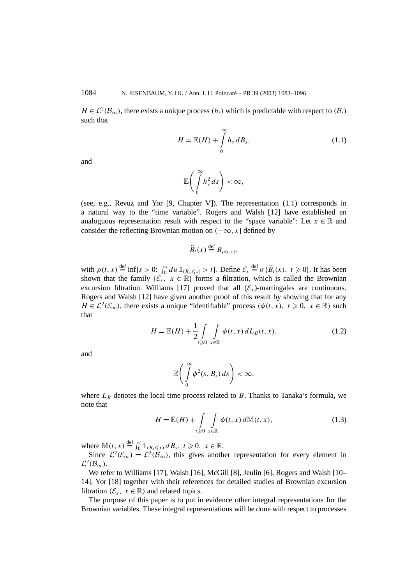$H \in \mathcal{L}^2(\mathcal{B}_{\infty})$ , there exists a unique process  $(h_t)$  which is predictable with respect to  $(\mathcal{B}_t)$ such that

$$
H = \mathbb{E}(H) + \int_{0}^{\infty} h_s \, dB_s, \tag{1.1}
$$

and

$$
\mathbb{E}\bigg(\int\limits_0^\infty h_s^2\,ds\bigg)<\infty,
$$

(see, e.g., Revuz and Yor [9, Chapter V]). The representation (1.1) corresponds in a natural way to the "time variable". Rogers and Walsh [12] have established an analoguous representation result with respect to the "space variable": Let  $x \in \mathbb{R}$  and consider the reflecting Brownian motion on  $(-\infty, x]$  defined by

$$
\widehat{B}_t(x) \stackrel{\text{def}}{=} B_{\rho(t,x)},
$$

with  $\rho(t, x) \stackrel{\text{def}}{=} \inf\{s > 0: \int_0^s du \, \mathbb{1}_{\{B_u \leq x\}} > t\}.$  Define  $\mathcal{E}_x \stackrel{\text{def}}{=} \sigma\{\widehat{B}_t(x), t \geq 0\}.$  It has been shown that the family  $\{\mathcal{E}_x, x \in \mathbb{R}\}$  forms a filtration, which is called the Brownian excursion filtration. Williams [17] proved that all  $(\mathcal{E}_r)$ -martingales are continuous. Rogers and Walsh [12] have given another proof of this result by showing that for any *H* ∈  $\mathcal{L}^2(\mathcal{E}_{\infty})$ , there exists a unique "identifiable" process  $(\phi(t, x), t \geq 0, x \in \mathbb{R})$  such that

$$
H = \mathbb{E}(H) + \frac{1}{2} \int\limits_{t \geqslant 0} \int\limits_{x \in \mathbb{R}} \phi(t, x) dL_B(t, x), \tag{1.2}
$$

and

$$
\mathbb{E}\bigg(\int\limits_{0}^{\infty}\phi^2(s,B_s)\,ds\bigg)<\infty,
$$

where  $L_B$  denotes the local time process related to *B*. Thanks to Tanaka's formula, we note that

$$
H = \mathbb{E}(H) + \int\limits_{t \geq 0} \int\limits_{x \in \mathbb{R}} \phi(t, x) d\mathbb{M}(t, x), \tag{1.3}
$$

where  $\mathbb{M}(t, x) \stackrel{\text{def}}{=} \int_0^t \mathbb{1}_{\{B_s \leq x\}} dB_s, t \geq 0, x \in \mathbb{R}.$ 

Since  $\mathcal{L}^2(\mathcal{E}_{\infty}) = \mathcal{L}^2(\mathcal{B}_{\infty})$ , this gives another representation for every element in  $\mathcal{L}^2(\mathcal{B}_\infty)$ .

We refer to Williams [17], Walsh [16], McGill [8], Jeulin [6], Rogers and Walsh [10– 14], Yor [18] together with their references for detailed studies of Brownian excursion filtration  $(\mathcal{E}_x, x \in \mathbb{R})$  and related topics.

The purpose of this paper is to put in evidence other integral representations for the Brownian variables. These integral representations will be done with respect to processes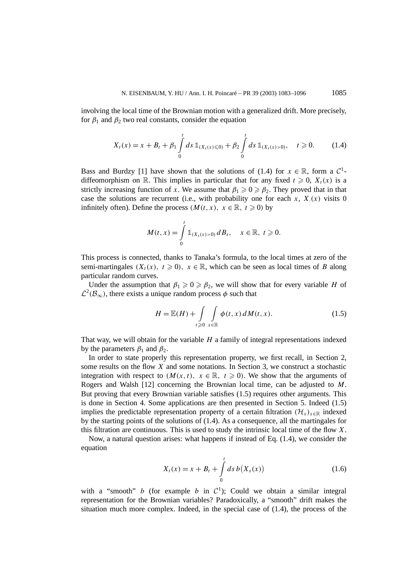involving the local time of the Brownian motion with a generalized drift. More precisely, for  $\beta_1$  and  $\beta_2$  two real constants, consider the equation

$$
X_t(x) = x + B_t + \beta_1 \int_0^t ds \, \mathbb{1}_{\{X_s(x) \le 0\}} + \beta_2 \int_0^t ds \, \mathbb{1}_{\{X_s(x) > 0\}}, \quad t \ge 0. \tag{1.4}
$$

Bass and Burdzy [1] have shown that the solutions of (1.4) for  $x \in \mathbb{R}$ , form a  $\mathcal{C}^1$ diffeomorphism on R. This implies in particular that for any fixed  $t \geq 0$ ,  $X_t(x)$  is a strictly increasing function of *x*. We assume that  $\beta_1 \geq 0 \geq \beta_2$ . They proved that in that case the solutions are recurrent (i.e., with probability one for each  $x$ ,  $X(x)$  visits 0 infinitely often). Define the process  $(M(t, x), x \in \mathbb{R}, t \ge 0)$  by

$$
M(t, x) = \int_{0}^{t} 1\!\!1_{(X_s(x) > 0)} dB_s, \quad x \in \mathbb{R}, t \geq 0.
$$

This process is connected, thanks to Tanaka's formula, to the local times at zero of the semi-martingales  $(X_t(x), t \ge 0)$ ,  $x \in \mathbb{R}$ , which can be seen as local times of *B* along particular random curves.

Under the assumption that  $\beta_1 \geq 0 \geq \beta_2$ , we will show that for every variable *H* of  $\mathcal{L}^2(\mathcal{B}_{\infty})$ , there exists a unique random process  $\phi$  such that

$$
H = \mathbb{E}(H) + \int\limits_{t \geqslant 0} \int\limits_{x \in \mathbb{R}} \phi(t, x) dM(t, x).
$$
 (1.5)

That way, we will obtain for the variable *H* a family of integral representations indexed by the parameters  $\beta_1$  and  $\beta_2$ .

In order to state properly this representation property, we first recall, in Section 2, some results on the flow *X* and some notations. In Section 3, we construct a stochastic integration with respect to  $(M(x, t), x \in \mathbb{R}, t \geq 0)$ . We show that the arguments of Rogers and Walsh [12] concerning the Brownian local time, can be adjusted to *M*. But proving that every Brownian variable satisfies (1.5) requires other arguments. This is done in Section 4. Some applications are then presented in Section 5. Indeed (1.5) implies the predictable representation property of a certain filtration  $(\mathcal{H}_x)_{x\in\mathbb{R}}$  indexed by the starting points of the solutions of (1.4). As a consequence, all the martingales for this filtration are continuous. This is used to study the intrinsic local time of the flow *X*.

Now, a natural question arises: what happens if instead of Eq. (1.4), we consider the equation

$$
X_t(x) = x + B_t + \int_0^t ds \, b(X_s(x)) \tag{1.6}
$$

with a "smooth" *b* (for example *b* in  $C^1$ ); Could we obtain a similar integral representation for the Brownian variables? Paradoxically, a "smooth" drift makes the situation much more complex. Indeed, in the special case of (1.4), the process of the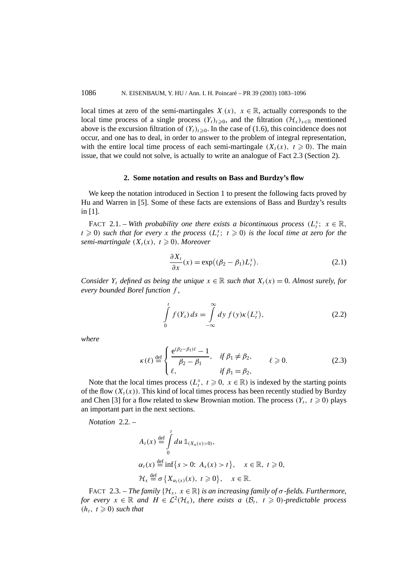local times at zero of the semi-martingales  $X(x)$ ,  $x \in \mathbb{R}$ , actually corresponds to the local time process of a single process  $(Y_t)_{t\geq0}$ , and the filtration  $(\mathcal{H}_x)_{x\in\mathbb{R}}$  mentioned above is the excursion filtration of  $(Y_t)_{t\geq0}$ . In the case of (1.6), this coincidence does not occur, and one has to deal, in order to answer to the problem of integral representation, with the entire local time process of each semi-martingale  $(X_t(x), t \ge 0)$ . The main issue, that we could not solve, is actually to write an analogue of Fact 2.3 (Section 2).

#### **2. Some notation and results on Bass and Burdzy's flow**

We keep the notation introduced in Section 1 to present the following facts proved by Hu and Warren in [5]. Some of these facts are extensions of Bass and Burdzy's results in [1].

FACT 2.1. – *With probability one there exists a bicontinuous process*  $(L_i^x; x \in \mathbb{R},$  $t \geq 0$ ) *such that for every x the process*  $(L_t^x; t \geq 0)$  *is the local time at zero for the semi-martingale*  $(X_t(x), t \geq 0)$ *. Moreover* 

$$
\frac{\partial X_t}{\partial x}(x) = \exp\big((\beta_2 - \beta_1)L_t^x\big). \tag{2.1}
$$

*Consider*  $Y_t$  *defined as being the unique*  $x \in \mathbb{R}$  *such that*  $X_t(x) = 0$ *. Almost surely, for every bounded Borel function f ,*

$$
\int_{0}^{t} f(Y_s) ds = \int_{-\infty}^{\infty} dy f(y) \kappa (L_t^y),
$$
\n(2.2)

*where*

$$
\kappa(\ell) \stackrel{\text{def}}{=} \begin{cases} \frac{e^{(\beta_2 - \beta_1)\ell} - 1}{\beta_2 - \beta_1}, & \text{if } \beta_1 \neq \beta_2, \\ \ell, & \text{if } \beta_1 = \beta_2, \end{cases} \qquad \ell \geq 0. \tag{2.3}
$$

Note that the local times process  $(L_t^x, t \geq 0, x \in \mathbb{R})$  is indexed by the starting points of the flow  $(X_t(x))$ . This kind of local times process has been recently studied by Burdzy and Chen [3] for a flow related to skew Brownian motion. The process  $(Y_t, t \geq 0)$  plays an important part in the next sections.

*Notation* 2.2. –

$$
A_t(x) \stackrel{\text{def}}{=} \int_0^t du \, \mathbb{1}_{(X_u(x) > 0)},
$$
  
\n
$$
\alpha_t(x) \stackrel{\text{def}}{=} \inf\{s > 0: A_s(x) > t\}, \quad x \in \mathbb{R}, \ t \ge 0,
$$
  
\n
$$
\mathcal{H}_x \stackrel{\text{def}}{=} \sigma \{X_{\alpha_t(x)}(x), \ t \ge 0\}, \quad x \in \mathbb{R}.
$$

FACT 2.3. – *The family*  $\{\mathcal{H}_x, x \in \mathbb{R}\}$  *is an increasing family of*  $\sigma$ -fields. Furthermore, *for every*  $x \in \mathbb{R}$  *and*  $H \in L^2(\mathcal{H}_x)$ *, there exists a*  $(\mathcal{B}_t, t \ge 0)$ *-predictable process*  $(h_t, t \geq 0)$  *such that*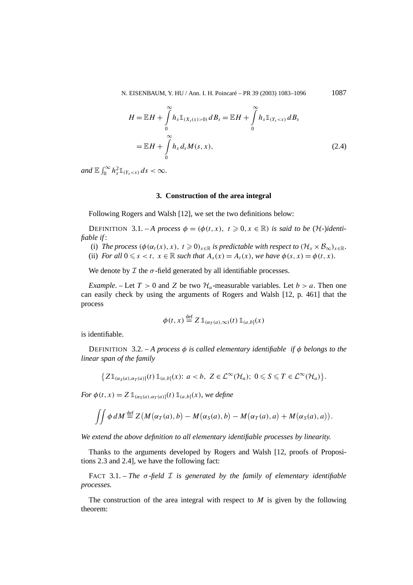N. EISENBAUM, Y. HU / Ann. I. H. Poincaré – PR 39 (2003) 1083-1096 1087

$$
H = \mathbb{E}H + \int_{0}^{\infty} h_s \mathbb{1}_{(X_s(x)>0)} dB_s = \mathbb{E}H + \int_{0}^{\infty} h_s \mathbb{1}_{(Y_s  
=  $\mathbb{E}H + \int_{0}^{\infty} h_s d_s M(s,x),$  (2.4)
$$

 $and \mathbb{E} \int_0^\infty h_s^2 \mathbb{1}_{(Y_s < x)} ds < \infty.$ 

## **3. Construction of the area integral**

Following Rogers and Walsh [12], we set the two definitions below:

DEFINITION 3.1. – *A process*  $\phi = (\phi(t, x), t \ge 0, x \in \mathbb{R})$  *is said to be* (*H*-)*identifiable if* :

(i) *The process*  $(\phi(\alpha_t(x), x), t \geq 0)_{x \in \mathbb{R}}$  *is predictable with respect to*  $(\mathcal{H}_x \times \mathcal{B}_{\infty})_{x \in \mathbb{R}}$ *.* 

(ii) *For all*  $0 \le s < t$ ,  $x \in \mathbb{R}$  *such that*  $A_s(x) = A_t(x)$ *, we have*  $\phi(s, x) = \phi(t, x)$ *.* 

We denote by  $\mathcal I$  the  $\sigma$ -field generated by all identifiable processes.

*Example*. – Let  $T > 0$  and *Z* be two  $\mathcal{H}_a$ -measurable variables. Let  $b > a$ . Then one can easily check by using the arguments of Rogers and Walsh [12, p. 461] that the process

$$
\phi(t, x) \stackrel{\text{def}}{=} Z \mathbb{1}_{(\alpha_T(a), \infty)}(t) \mathbb{1}_{(a, b]}(x)
$$

is identifiable.

DEFINITION 3.2. – *A process φ is called elementary identifiable if φ belongs to the linear span of the family*

$$
\big\{Z\mathbb{1}_{(\alpha_S(a),\alpha_T(a)]}(t)\mathbb{1}_{(a,b]}(x)\colon a
$$

*For*  $\phi(t, x) = Z \mathbb{1}_{(\alpha s(a), \alpha T(a))}(t) \mathbb{1}_{(a, b]}(x)$ *, we define* 

$$
\iint \phi \, dM \stackrel{\text{def}}{=} Z(M(\alpha_T(a), b) - M(\alpha_S(a), b) - M(\alpha_T(a), a) + M(\alpha_S(a), a)).
$$

*We extend the above definition to all elementary identifiable processes by linearity.*

Thanks to the arguments developed by Rogers and Walsh [12, proofs of Propositions 2.3 and 2.4], we have the following fact:

FACT 3.1. – *The*  $\sigma$ -field  $\mathcal I$  is generated by the family of elementary identifiable *processes.*

The construction of the area integral with respect to *M* is given by the following theorem: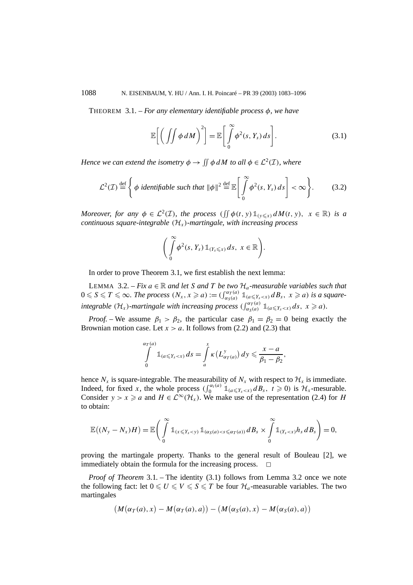THEOREM 3.1. – *For any elementary identifiable process φ, we have*

$$
\mathbb{E}\bigg[\bigg(\iint \phi \, dM\bigg)^2\bigg] = \mathbb{E}\bigg[\int_0^\infty \phi^2(s, Y_s) \, ds\bigg].\tag{3.1}
$$

*Hence we can extend the isometry*  $\phi \rightarrow \iint \phi \, dM$  *to all*  $\phi \in \mathcal{L}^2(\mathcal{I})$ *, where* 

$$
\mathcal{L}^2(\mathcal{I}) \stackrel{\text{def}}{=} \left\{ \phi \text{ identifiable such that } ||\phi||^2 \stackrel{\text{def}}{=} \mathbb{E} \left[ \int_0^\infty \phi^2(s, Y_s) \, ds \right] < \infty \right\}. \tag{3.2}
$$

*Moreover, for any*  $\phi \in L^2(\mathcal{I})$ *, the process*  $(\iint \phi(t, y) 1\mathbb{1}_{y \leq x} dM(t, y)$ *,*  $x \in \mathbb{R}$ *) is a continuous square-integrable (*H*x)-martingale, with increasing process*

$$
\left(\int\limits_{0}^{\infty}\phi^2(s,Y_s)\,\mathbb{1}_{(Y_s\leqslant x)}\,ds,\,\,x\in\mathbb{R}\right).
$$

In order to prove Theorem 3.1, we first establish the next lemma:

LEMMA 3.2. – *Fix*  $a \in \mathbb{R}$  *and let S and T be two*  $\mathcal{H}_a$ -measurable variables such that  $0 \leqslant S \leqslant T \leqslant \infty$ . The process  $(N_x, x \geqslant a) := (\int_{\alpha_S(a)}^{\alpha_T(a)} 1 \pmod{B_s}, x \geqslant a)$  is a square*integrable*  $(\mathcal{H}_x)$ *-martingale with increasing process*  $\left(\int_{\alpha_S(a)}^{\alpha_T(a)} \mathbb{1}_{\{a \leq Y_s < x\}} ds, x \geq a\right)$ .

*Proof.* – We assume  $\beta_1 > \beta_2$ , the particular case  $\beta_1 = \beta_2 = 0$  being exactly the Brownian motion case. Let  $x > a$ . It follows from (2.2) and (2.3) that

$$
\int\limits_{0}^{\alpha_{T}(a)}\mathbb{1}_{\left(a\leqslant Y_{s}
$$

hence  $N_x$  is square-integrable. The measurability of  $N_x$  with respect to  $\mathcal{H}_x$  is immediate. Indeed, for fixed *x*, the whole process  $(\int_0^{\alpha_t(a)} 1\!\!1_{\{\alpha \leq Y_s < x\}} dB_s, t \geq 0)$  is  $\mathcal{H}_x$ -mesurable. Consider *y* > *x*  $\ge$  *a* and *H*  $\in$  L<sup>∞</sup>( $H_x$ ). We make use of the representation (2.4) for *H* to obtain:

$$
\mathbb{E}((N_{y}-N_{x})H)=\mathbb{E}\bigg(\int_{0}^{\infty}\mathbb{1}_{(x\leqslant Y_{s}
$$

proving the martingale property. Thanks to the general result of Bouleau [2], we immediately obtain the formula for the increasing process.  $\Box$ 

*Proof of Theorem* 3.1*. –* The identity (3.1) follows from Lemma 3.2 once we note the following fact: let  $0 \leq U \leq V \leq S \leq T$  be four  $\mathcal{H}_a$ -measurable variables. The two martingales

$$
(M(\alpha_T(a),x)-M(\alpha_T(a),a))-(M(\alpha_S(a),x)-M(\alpha_S(a),a))
$$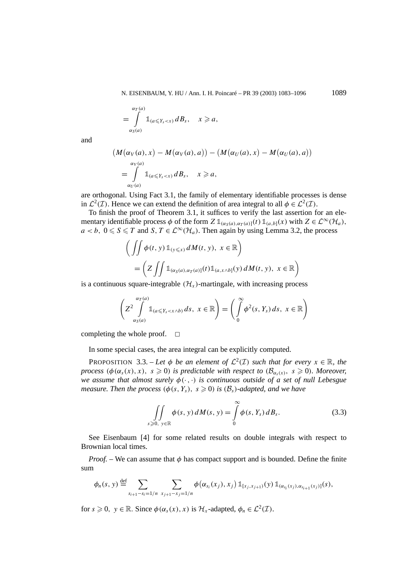N. EISENBAUM, Y. HU / Ann. I. H. Poincaré – PR 39 (2003) 1083–1096 1089

$$
=\int_{\alpha_S(a)}^{\alpha_T(a)}\mathbb{1}_{(a\leq Y_s
$$

and

$$
\begin{aligned} \left(M\big(\alpha_V(a),x\big)-M\big(\alpha_V(a),a\big)\right)-\left(M\big(\alpha_U(a),x\big)-M\big(\alpha_U(a),a\big)\right)\\ &= \int\limits_{\alpha_U(a)}\mathbb{1}_{(a\leqslant Y_s
$$

are orthogonal. Using Fact 3.1, the family of elementary identifiable processes is dense in  $\mathcal{L}^2(\mathcal{I})$ . Hence we can extend the definition of area integral to all  $\phi \in \mathcal{L}^2(\mathcal{I})$ .

To finish the proof of Theorem 3.1, it suffices to verify the last assertion for an elementary identifiable process  $\phi$  of the form  $Z \mathbb{1}_{(\alpha_S(a), \alpha_T(a))}(t) \mathbb{1}_{(a,b]}(x)$  with  $Z \in \mathcal{L}^{\infty}(\mathcal{H}_a)$ ,  $a < b$ ,  $0 \le S \le T$  and  $S$ ,  $T \in \mathcal{L}^{\infty}(\mathcal{H}_a)$ . Then again by using Lemma 3.2, the process

$$
\left(\iint \phi(t, y) 1_{(y \leq x)} dM(t, y), x \in \mathbb{R}\right)
$$
  
= 
$$
\left(Z \iint 1_{(\alpha_S(a), \alpha_T(a)]}(t) 1_{(a, x \wedge b]}(y) dM(t, y), x \in \mathbb{R}\right)
$$

is a continuous square-integrable  $(\mathcal{H}_x)$ -martingale, with increasing process

$$
\left(Z^2\int_{\alpha_S(a)}^{\alpha_T(a)}\mathbb{1}_{(a\leqslant Y_s
$$

completing the whole proof.  $\Box$ 

In some special cases, the area integral can be explicitly computed.

PROPOSITION 3.3. – Let  $\phi$  be an element of  $\mathcal{L}^2(\mathcal{I})$  such that for every  $x \in \mathbb{R}$ , the *process*  $(\phi(\alpha_s(x), x), s \ge 0)$  *is predictable with respect to*  $(\mathcal{B}_{\alpha_s(x)}, s \ge 0)$ *. Moreover, we assume that almost surely φ(*·*,*·*) is continuous outside of a set of null Lebesgue measure. Then the process*  $(\phi(s, Y_s), s \geq 0)$  *is*  $(\mathcal{B}_s)$ *-adapted, and we have* 

$$
\iint\limits_{s\geqslant 0, y\in\mathbb{R}} \phi(s, y) dM(s, y) = \int\limits_{0}^{\infty} \phi(s, Y_s) dB_s.
$$
 (3.3)

See Eisenbaum [4] for some related results on double integrals with respect to Brownian local times.

*Proof.* – We can assume that  $\phi$  has compact support and is bounded. Define the finite sum

$$
\phi_n(s, y) \stackrel{\text{def}}{=} \sum_{s_{i+1}-s_i=1/n} \sum_{x_{j+1}-x_j=1/n} \phi(\alpha_{s_i}(x_j), x_j) \mathbb{1}_{[x_j, x_{j+1})}(y) \mathbb{1}_{(\alpha_{s_i}(x_j), \alpha_{s_{i+1}}(x_j)]}(s),
$$

for  $s \geq 0$ ,  $y \in \mathbb{R}$ . Since  $\phi(\alpha_s(x), x)$  is  $\mathcal{H}_x$ -adapted,  $\phi_n \in \mathcal{L}^2(\mathcal{I})$ .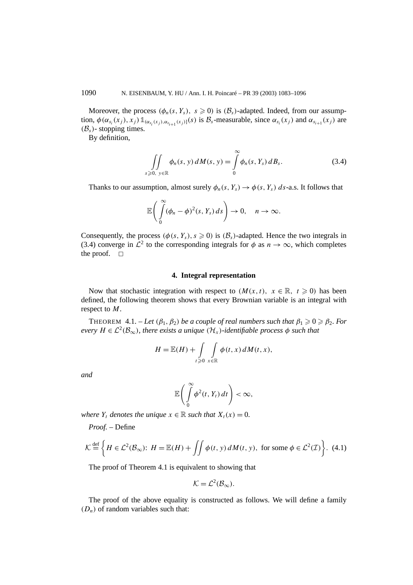Moreover, the process  $(\phi_n(s, Y_s), s \geq 0)$  is  $(\mathcal{B}_s)$ -adapted. Indeed, from our assumption,  $\phi(\alpha_{s_i}(x_j), x_j) \mathbb{1}_{(\alpha_{s_i}(x_j), \alpha_{s_{i+1}}(x_j)]}(s)$  is  $\mathcal{B}_s$ -measurable, since  $\alpha_{s_i}(x_j)$  and  $\alpha_{s_{i+1}}(x_j)$  are  $(\mathcal{B}_s)$ - stopping times.

By definition,

$$
\iint\limits_{s\geqslant 0, y\in \mathbb{R}} \phi_n(s, y) dM(s, y) = \int\limits_0^\infty \phi_n(s, Y_s) dB_s.
$$
 (3.4)

Thanks to our assumption, almost surely  $\phi_n(s, Y_s) \to \phi(s, Y_s)$  *ds*-a.s. It follows that

$$
\mathbb{E}\bigg(\int\limits_{0}^{\infty}(\phi_n-\phi)^2(s,Y_s)\,ds\bigg)\to 0,\quad n\to\infty.
$$

Consequently, the process  $(\phi(s, Y_s), s \geq 0)$  is  $(\mathcal{B}_s)$ -adapted. Hence the two integrals in (3.4) converge in  $\mathcal{L}^2$  to the corresponding integrals for  $\phi$  as  $n \to \infty$ , which completes the proof.  $\square$ 

#### **4. Integral representation**

Now that stochastic integration with respect to  $(M(x, t), x \in \mathbb{R}, t \ge 0)$  has been defined, the following theorem shows that every Brownian variable is an integral with respect to *M*.

THEOREM 4.1. – Let  $(\beta_1, \beta_2)$  *be a couple of real numbers such that*  $\beta_1 \geq 0 \geq \beta_2$ *. For every*  $H \in \mathcal{L}^2(\mathcal{B}_{\infty})$ *, there exists a unique*  $(\mathcal{H}_x)$ *-identifiable process*  $\phi$  *such that* 

$$
H = \mathbb{E}(H) + \int\limits_{t \geq 0} \int\limits_{x \in \mathbb{R}} \phi(t, x) dM(t, x),
$$

*and*

$$
\mathbb{E}\left(\int\limits_{0}^{\infty}\phi^2(t,Y_t)\,dt\right)<\infty,
$$

*where*  $Y_t$  *denotes the unique*  $x \in \mathbb{R}$  *such that*  $X_t(x) = 0$ *.* 

*Proof. –* Define

$$
\mathcal{K} \stackrel{\text{def}}{=} \left\{ H \in \mathcal{L}^2(\mathcal{B}_{\infty}) : H = \mathbb{E}(H) + \iint \phi(t, y) \, dM(t, y), \text{ for some } \phi \in \mathcal{L}^2(\mathcal{I}) \right\}. \tag{4.1}
$$

The proof of Theorem 4.1 is equivalent to showing that

$$
\mathcal{K}=\mathcal{L}^2(\mathcal{B}_{\infty}).
$$

The proof of the above equality is constructed as follows. We will define a family  $(D_n)$  of random variables such that: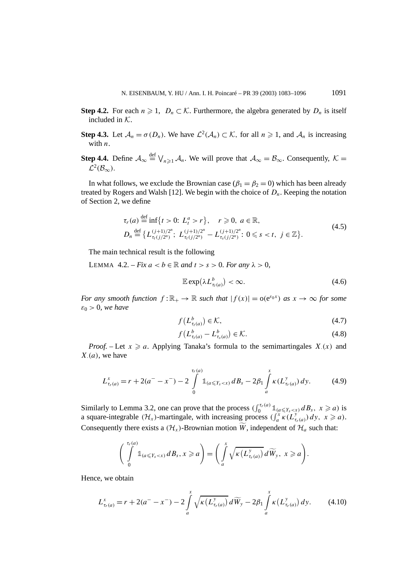- **Step 4.2.** For each  $n \geq 1$ ,  $D_n \subset \mathcal{K}$ . Furthermore, the algebra generated by  $D_n$  is itself included in K.
- **Step 4.3.** Let  $\mathcal{A}_n = \sigma(D_n)$ . We have  $\mathcal{L}^2(\mathcal{A}_n) \subset \mathcal{K}$ , for all  $n \ge 1$ , and  $\mathcal{A}_n$  is increasing with *n*.
- **Step 4.4.** Define  $A_{\infty} \stackrel{\text{def}}{=} \bigvee_{n \geq 1} A_n$ . We will prove that  $A_{\infty} = B_{\infty}$ . Consequently,  $K =$  $\mathcal{L}^2(\mathcal{B}_\infty)$ .

In what follows, we exclude the Brownian case  $(\beta_1 = \beta_2 = 0)$  which has been already treated by Rogers and Walsh [12]. We begin with the choice of  $D_n$ . Keeping the notation of Section 2, we define

$$
\tau_r(a) \stackrel{\text{def}}{=} \inf\{t > 0: L_t^a > r\}, \quad r \geq 0, \ a \in \mathbb{R},
$$
\n
$$
D_n \stackrel{\text{def}}{=} \big\{ L_{\tau_r(j/2^n)}^{(j+1)/2^n}; \ L_{\tau_r(j/2^n)}^{(j+1)/2^n} - L_{\tau_s(j/2^n)}^{(j+1)/2^n}: 0 \leq s < t, \ j \in \mathbb{Z} \big\}.
$$
\n
$$
(4.5)
$$

The main technical result is the following

LEMMA  $4.2. - Fix \, a < b \in \mathbb{R}$  and  $t > s > 0$ . For any  $\lambda > 0$ ,

$$
\mathbb{E}\exp(\lambda L_{\tau_t(a)}^b) < \infty. \tag{4.6}
$$

*For any smooth function*  $f: \mathbb{R}_+ \to \mathbb{R}$  *such that*  $|f(x)| = o(e^{\varepsilon_0 x})$  *as*  $x \to \infty$  *for some ε*<sup>0</sup> *>* 0*, we have*

$$
f\left(L_{\tau_t(a)}^b\right) \in \mathcal{K},\tag{4.7}
$$

$$
f\left(L_{\tau_t(a)}^b - L_{\tau_s(a)}^b\right) \in \mathcal{K}.\tag{4.8}
$$

*Proof.* – Let  $x \ge a$ . Applying Tanaka's formula to the semimartingales  $X(x)$  and *X*·*(a)*, we have

$$
L_{\tau_r(a)}^x = r + 2(a^--x^-) - 2 \int\limits_0^{\tau_r(a)} \mathbb{1}_{\{a \leqslant Y_s < x\}} dB_s - 2\beta_1 \int\limits_a^x \kappa(L_{\tau_r(a)}^y) \, dy. \tag{4.9}
$$

Similarly to Lemma 3.2, one can prove that the process  $(\int_0^{\tau_r(a)} \mathbb{1}_{a \leq Y_s < x} dB_s, x \geq a)$  is a square-integrable  $(H_x)$ -martingale, with increasing process  $(\int_a^x \kappa(L_{\tau_r(a)}^y) dy, x \ge a$ . Consequently there exists a  $(\mathcal{H}_x)$ -Brownian motion *W*, independent of  $\mathcal{H}_a$  such that:

$$
\left(\int\limits_{0}^{\tau_{r}(a)}\mathbb{1}_{\left(a\leqslant Y_{s}
$$

Hence, we obtain

$$
L_{\tau_r(a)}^x = r + 2(a^--x^-) - 2\int_a^x \sqrt{\kappa(L_{\tau_r(a)}^y)} \, d\widetilde{W}_y - 2\beta_1 \int_a^x \kappa(L_{\tau_r(a)}^y) \, dy. \tag{4.10}
$$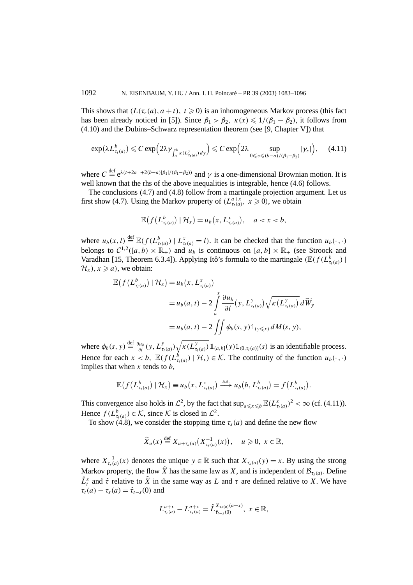This shows that  $(L(\tau_r(a), a + t), t \geq 0)$  is an inhomogeneous Markov process (this fact has been already noticed in [5]). Since  $\beta_1 > \beta_2$ ,  $\kappa(x) \leq 1/(\beta_1 - \beta_2)$ , it follows from (4.10) and the Dubins–Schwarz representation theorem (see [9, Chapter V]) that

$$
\exp(\lambda L_{\tau_l(a)}^b) \leqslant C \exp\Bigl(2\lambda \gamma_{\int_a^b \kappa(L_{\tau_l(a)}^y) dy}\Bigr) \leqslant C \exp\Bigl(2\lambda \sup_{0\leqslant v\leqslant (b-a)/( \beta_1-\beta_2)}|\gamma_s|\Bigr),\quad \ \ (4.11)
$$

where  $C \stackrel{\text{def}}{=} e^{\lambda(t+2a^{-}+2(b-a)|\beta_1|/(\beta_1-\beta_2))}$  and  $\gamma$  is a one-dimensional Brownian motion. It is well known that the rhs of the above inequalities is integrable, hence (4.6) follows.

The conclusions (4.7) and (4.8) follow from a martingale projection argument. Let us first show (4.7). Using the Markov property of  $(L_{\tau_t(a)}^{a+x}, x \ge 0)$ , we obtain

$$
\mathbb{E}\big(f\big(L^b_{\tau_t(a)}\big)\,|\,\mathcal{H}_x\big)=u_b\big(x,L^x_{\tau_t(a)}\big),\quad a
$$

where  $u_b(x, l) \stackrel{\text{def}}{=} \mathbb{E}(f(L^b_{\tau_l(a)}) | L^x_{\tau_l(a)} = l)$ . It can be checked that the function  $u_b(\cdot, \cdot)$ belongs to  $C^{1,2}([a, b) \times \mathbb{R}_+)$  and  $u_b$  is continuous on  $[a, b] \times \mathbb{R}_+$  (see Stroock and Varadhan [15, Theorem 6.3.4]). Applying Itô's formula to the martingale  $(\mathbb{E}(f(L_{\tau_{t}(a)}^{b}))$  $\mathcal{H}_x$ ,  $x \ge a$ , we obtain:

$$
\mathbb{E}\left(f\left(L_{\tau_t(a)}^b\right) \mid \mathcal{H}_x\right) = u_b(x, L_{\tau_t(a)}^x)
$$
\n
$$
= u_b(a, t) - 2 \int_a^x \frac{\partial u_b}{\partial l}(y, L_{\tau_t(a)}^y) \sqrt{\kappa\left(L_{\tau_t(a)}^y\right)} d\widetilde{W}_y
$$
\n
$$
= u_b(a, t) - 2 \iint \phi_b(s, y) \mathbb{1}_{\{y \le x\}} dM(s, y),
$$

where  $\phi_b(s, y) \stackrel{\text{def}}{=} \frac{\partial u_b}{\partial l}(y, L^y_{\tau_t(a)}) \sqrt{\kappa(L^y_{\tau_t(a)})} \mathbb{1}_{(a,b]}(y) \mathbb{1}_{(0,\tau_t(a)]}(s)$  is an identifiable process. Hence for each  $x < b$ ,  $\mathbb{E}(f(L_{\tau_t(a)}^b) | \mathcal{H}_x) \in \mathcal{K}$ . The continuity of the function  $u_b(\cdot, \cdot)$ implies that when *x* tends to *b*,

$$
\mathbb{E}\big(f\big(L^b_{\tau_t(a)}\big) \mid \mathcal{H}_x\big) \equiv u_b\big(x, L^x_{\tau_t(a)}\big) \stackrel{\text{a.s.}}{\longrightarrow} u_b\big(b, L^b_{\tau_t(a)}\big) = f\big(L^b_{\tau_t(a)}\big).
$$

This convergence also holds in  $\mathcal{L}^2$ , by the fact that  $\sup_{a \leq x \leq b} \mathbb{E}(L^x_{\tau_t(a)})^2 < \infty$  (cf. (4.11)). Hence  $f(L_{\tau_t(a)}^b) \in \mathcal{K}$ , since  $\mathcal{K}$  is closed in  $\mathcal{L}^2$ .

To show (4.8), we consider the stopping time  $\tau_s(a)$  and define the new flow

$$
\widehat{X}_u(x) \stackrel{\text{def}}{=} X_{u+\tau_s(a)}\big(X_{\tau_s(a)}^{-1}(x)\big), \quad u \geq 0, \ x \in \mathbb{R},
$$

where  $X_{\tau_s(a)}^{-1}(x)$  denotes the unique  $y \in \mathbb{R}$  such that  $X_{\tau_s(a)}(y) = x$ . By using the strong Markov property, the flow  $\hat{X}$  has the same law as *X*, and is independent of  $\mathcal{B}_{\tau_{\epsilon}(a)}$ . Define  $\hat{L}^x_t$  and  $\hat{\tau}$  relative to  $\hat{X}$  in the same way as *L* and  $\tau$  are defined relative to *X*. We have  $\tau_t(a) - \tau_s(a) = \hat{\tau}_{t-s}(0)$  and

$$
L_{\tau_t(a)}^{a+x} - L_{\tau_s(a)}^{a+x} = \hat{L}_{\hat{\tau}_{t-s}(0)}^{X_{\tau_s(a)}(a+x)}, \ x \in \mathbb{R},
$$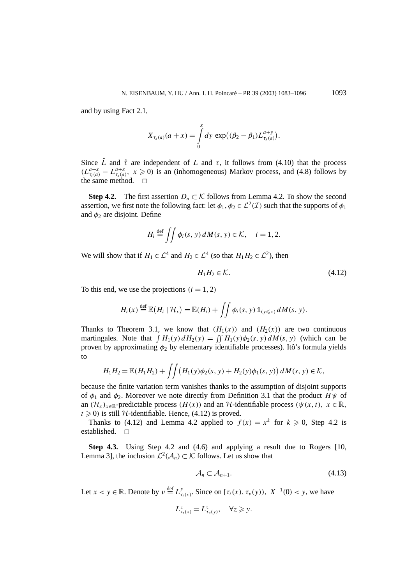and by using Fact 2.1,

$$
X_{\tau_s(a)}(a+x) = \int\limits_0^x dy \, \exp\bigl((\beta_2 - \beta_1)L_{\tau_s(a)}^{a+y}\bigr).
$$

Since  $\hat{L}$  and  $\hat{\tau}$  are independent of *L* and  $\tau$ , it follows from (4.10) that the process  $(L_{\tau(a)}^{a+x} - L_{\tau(a)}^{a+x}, x \ge 0)$  is an (inhomogeneous) Markov process, and (4.8) follows by the same method.  $\square$ 

**Step 4.2.** The first assertion  $D_n \subset \mathcal{K}$  follows from Lemma 4.2. To show the second assertion, we first note the following fact: let  $\phi_1, \phi_2 \in \mathcal{L}^2(\mathcal{I})$  such that the supports of  $\phi_1$ and  $\phi_2$  are disjoint. Define

$$
H_i \stackrel{\text{def}}{=} \iint \phi_i(s, y) dM(s, y) \in \mathcal{K}, \quad i = 1, 2.
$$

We will show that if  $H_1 \in \mathcal{L}^4$  and  $H_2 \in \mathcal{L}^4$  (so that  $H_1 H_2 \in \mathcal{L}^2$ ), then

$$
H_1 H_2 \in \mathcal{K}.\tag{4.12}
$$

To this end, we use the projections  $(i = 1, 2)$ 

$$
H_i(x) \stackrel{\text{def}}{=} \mathbb{E}\big(H_i \mid \mathcal{H}_x\big) = \mathbb{E}(H_i) + \iint \phi_i(s, y) \mathbb{1}_{(y \leq x)} dM(s, y).
$$

Thanks to Theorem 3.1, we know that  $(H_1(x))$  and  $(H_2(x))$  are two continuous martingales. Note that  $\int H_1(y) dH_2(y) = \iint H_1(y) \phi_2(s, y) dM(s, y)$  (which can be proven by approximating *φ*<sup>2</sup> by elementary identifiable processes). Itô's formula yields to

$$
H_1 H_2 = \mathbb{E}(H_1 H_2) + \iint \left( H_1(y) \phi_2(s, y) + H_2(y) \phi_1(s, y) \right) dM(s, y) \in \mathcal{K},
$$

because the finite variation term vanishes thanks to the assumption of disjoint supports of  $\phi_1$  and  $\phi_2$ . Moreover we note directly from Definition 3.1 that the product *H* $\psi$  of an  $(H_x)_{x \in \mathbb{R}}$ -predictable process  $(H(x))$  and an H-identifiable process  $(\psi(x, t), x \in \mathbb{R})$ ,  $t \geq 0$ ) is still H-identifiable. Hence, (4.12) is proved.

Thanks to (4.12) and Lemma 4.2 applied to  $f(x) = x^k$  for  $k \ge 0$ , Step 4.2 is established.  $\square$ 

**Step 4.3.** Using Step 4.2 and (4.6) and applying a result due to Rogers [10, Lemma 3], the inclusion  $\mathcal{L}^2(\mathcal{A}_n) \subset \mathcal{K}$  follows. Let us show that

$$
\mathcal{A}_n \subset \mathcal{A}_{n+1}.\tag{4.13}
$$

Let  $x < y \in \mathbb{R}$ . Denote by  $v \stackrel{\text{def}}{=} L^y_{\tau_t(x)}$ . Since on  $[\tau_t(x), \tau_v(y))$ ,  $X^{-1}(0) < y$ , we have

$$
L_{\tau_t(x)}^z = L_{\tau_v(y)}^z, \quad \forall z \geq y.
$$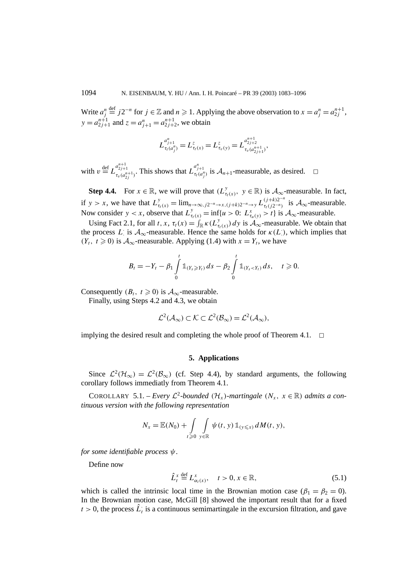Write  $a_j^n$  $\frac{d^{def}}{dx^{i}}$  *j*2<sup>−*n*</sup> for *j* ∈  $\mathbb{Z}$  and *n*  $\geq$  1. Applying the above observation to  $x = a_j^n = a_{2j}^{n+1}$ , *y* =  $a_{2j+1}^{n+1}$  and  $z = a_{j+1}^n = a_{2j+2}^{n+1}$ , we obtain

$$
L_{\tau_t(a_j^n)}^{a_{j+1}^n} = L_{\tau_t(x)}^z = L_{\tau_v(y)}^z = L_{\tau_v(a_{2j+1}^{n+1})}^{a_{2j+2}^{n+1}}
$$

*,*

with  $v \stackrel{\text{def}}{=} L_{\tau_v(a_{2j}^{n+1})}^{a_{2j+1}^{n+1}}$ . This shows that  $L_{\tau_t(a_j^n)}^{a_{j+1}^n}$  is  $A_{n+1}$ -measurable, as desired.  $\square$ 

**Step 4.4.** For  $x \in \mathbb{R}$ , we will prove that  $(L_{\tau_i(x)}^y, y \in \mathbb{R})$  is  $\mathcal{A}_{\infty}$ -measurable. In fact, if  $y > x$ , we have that  $L^y_{\tau_t(x)} = \lim_{n \to \infty, j2^{-n} \to x, (j+k)2^{-n} \to y} L^{(j+k)2^{-n}}_{\tau_t(j2^{-n})}$  is  $\mathcal{A}_{\infty}$ -measurable. Now consider  $y < x$ , observe that  $L_{\tau_t(x)}^y = \inf\{u > 0: L_{\tau_u(y)}^x > t\}$  is  $\mathcal{A}_{\infty}$ -measurable.

Using Fact 2.1, for all *t*, *x*,  $\tau_t(x) = \int_{\mathbb{R}} \kappa(L_{\tau_t(x)}^y) dy$  is  $\mathcal{A}_{\infty}$ -measurable. We obtain that the process *L* is  $A_{\infty}$ -measurable. Hence the same holds for  $\kappa(L)$ , which implies that  $(Y_t, t \geq 0)$  is  $\mathcal{A}_{\infty}$ -measurable. Applying (1.4) with  $x = Y_t$ , we have

$$
B_t = -Y_t - \beta_1 \int_0^t \mathbb{1}_{(Y_s \geq Y_t)} ds - \beta_2 \int_0^t \mathbb{1}_{(Y_s < Y_t)} ds, \quad t \geq 0.
$$

Consequently  $(B_t, t \geq 0)$  is  $\mathcal{A}_{\infty}$ -measurable.

Finally, using Steps 4.2 and 4.3, we obtain

$$
\mathcal{L}^2(\mathcal{A}_{\infty}) \subset \mathcal{K} \subset \mathcal{L}^2(\mathcal{B}_{\infty}) = \mathcal{L}^2(\mathcal{A}_{\infty}),
$$

implying the desired result and completing the whole proof of Theorem 4.1.  $\Box$ 

## **5. Applications**

Since  $\mathcal{L}^2(\mathcal{H}_\infty) = \mathcal{L}^2(\mathcal{B}_\infty)$  (cf. Step 4.4), by standard arguments, the following corollary follows immediatly from Theorem 4.1.

COROLLARY 5.1. – *Every*  $\mathcal{L}^2$ -bounded  $(\mathcal{H}_x)$ -martingale  $(N_x, x \in \mathbb{R})$  admits a con*tinuous version with the following representation*

$$
N_x = \mathbb{E}(N_0) + \int\limits_{t \geqslant 0} \int\limits_{y \in \mathbb{R}} \psi(t, y) \mathbb{1}_{(y \leqslant x)} dM(t, y),
$$

*for some identifiable process ψ.*

Define now

$$
\hat{L}_t^x \stackrel{\text{def}}{=} L_{\alpha_t(x)}^x, \quad t > 0, x \in \mathbb{R}, \tag{5.1}
$$

which is called the intrinsic local time in the Brownian motion case  $(\beta_1 = \beta_2 = 0)$ . In the Brownian motion case, McGill [8] showed the important result that for a fixed  $t > 0$ , the process  $\hat{L}_t$  is a continuous semimartingale in the excursion filtration, and gave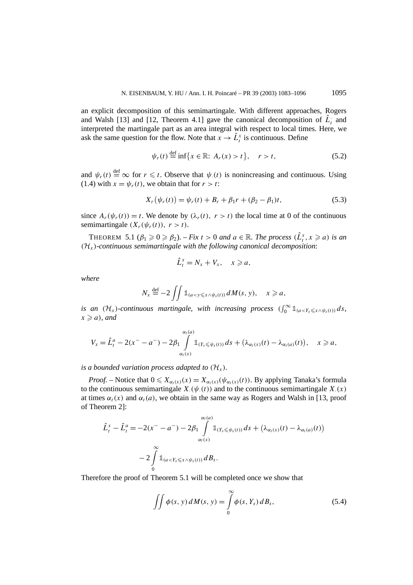an explicit decomposition of this semimartingale. With different approaches, Rogers and Walsh [13] and [12, Theorem 4.1] gave the canonical decomposition of  $\hat{L}_i$  and interpreted the martingale part as an area integral with respect to local times. Here, we ask the same question for the flow. Note that  $x \to \hat{L}_t^x$  is continuous. Define

$$
\psi_r(t) \stackrel{\text{def}}{=} \inf \{ x \in \mathbb{R} : A_r(x) > t \}, \quad r > t,
$$
\n(5.2)

and  $\psi_r(t) \stackrel{\text{def}}{=} \infty$  for  $r \leq t$ . Observe that  $\psi_r(t)$  is nonincreasing and continuous. Using (1.4) with  $x = \psi_r(t)$ , we obtain that for  $r > t$ :

$$
X_r(\psi_r(t)) = \psi_r(t) + B_r + \beta_1 r + (\beta_2 - \beta_1) t,\tag{5.3}
$$

since  $A_r(\psi_r(t)) = t$ . We denote by  $(\lambda_r(t), r > t)$  the local time at 0 of the continuous semimartingale  $(X_r(\psi_r(t)), r > t)$ .

THEOREM 5.1 ( $\beta_1 \geqslant 0 \geqslant \beta_2$ ). – *Fix*  $t > 0$  and  $a \in \mathbb{R}$ . The process  $(\hat{L}_t^x, x \geqslant a)$  is an *(*H*x)-continuous semimartingale with the following canonical decomposition*:

$$
\hat{L}_t^x = N_x + V_x, \quad x \geqslant a,
$$

*where*

$$
N_x \stackrel{\text{def}}{=} -2 \iint \mathbb{1}_{(a < y \leq x \land \psi_s(t))} dM(s, y), \quad x \geq a,
$$

*is an*  $(\mathcal{H}_x)$ *-continuous martingale, with increasing process*  $(\int_0^\infty \mathbb{1}_{(a < Y_s \leq x \land \psi_s(t))} ds$ ,  $x \ge a$ *), and* 

$$
V_x = \hat{L}_t^a - 2(x^- - a^-) - 2\beta_1 \int\limits_{\alpha_t(x)}^{\alpha_t(a)} \mathbb{1}_{(Y_s \leq \psi_s(t))} ds + (\lambda_{\alpha_t(x)}(t) - \lambda_{\alpha_t(a)}(t)), \quad x \geq a,
$$

*is a bounded variation process adapted to*  $(\mathcal{H}_x)$ *.* 

*Proof.* – Notice that  $0 \le X_{\alpha_t(x)}(x) = X_{\alpha_t(x)}(\psi_{\alpha_t(x)}(t))$ . By applying Tanaka's formula to the continuous semimartingale  $X_{\cdot}(\psi_{\cdot}(t))$  and to the continuous semimartingale  $X_{\cdot}(x)$ at times  $\alpha_t(x)$  and  $\alpha_t(a)$ , we obtain in the same way as Rogers and Walsh in [13, proof of Theorem 2]:

$$
\hat{L}_t^x - \hat{L}_t^a = -2(x^- - a^-) - 2\beta_1 \int_{\alpha_t(x)}^{\alpha_t(a)} \mathbb{1}_{(Y_s \leq \psi_s(t))} ds + (\lambda_{\alpha_t(x)}(t) - \lambda_{\alpha_t(a)}(t))
$$

$$
- 2 \int_0^\infty \mathbb{1}_{(a < Y_s \leq x \land \psi_s(t))} dB_s.
$$

Therefore the proof of Theorem 5.1 will be completed once we show that

$$
\iint \phi(s, y) dM(s, y) = \int_{0}^{\infty} \phi(s, Y_s) dB_s,
$$
\n(5.4)